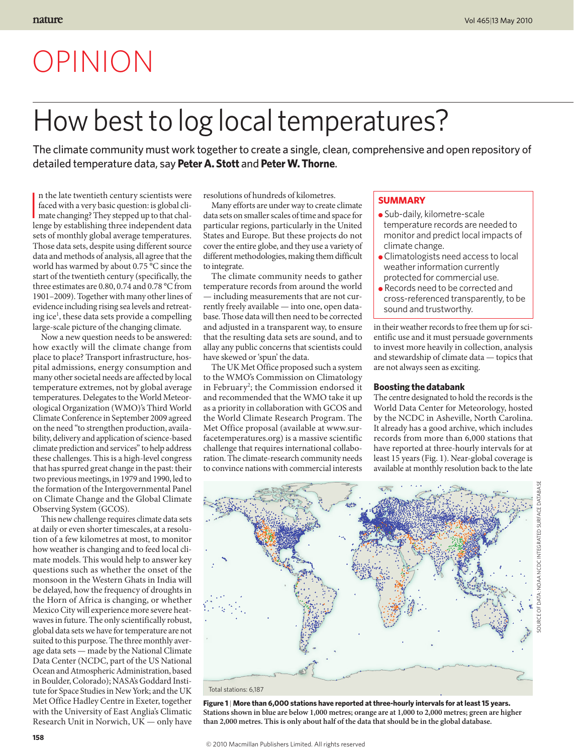# OPINION

# How best to log local temperatures?

The climate community must work together to create a single, clean, comprehensive and open repository of detailed temperature data, say **Peter A. Stott** and **Peter W. Thorne**.

In the late twentieth century scientists were<br>faced with a very basic question: is global cli-<br>mate changing? They stepped up to that chal-<br>lenge by establishing three independent data n the late twentieth century scientists were faced with a very basic question: is global climate changing? They stepped up to that chalsets of monthly global average temperatures. Those data sets, despite using different source data and methods of analysis, all agree that the world has warmed by about 0.75 °C since the start of the twentieth century (specifically, the three estimates are 0.80, 0.74 and 0.78 °C from 1901–2009). Together with many other lines of evidence including rising sea levels and retreating ice<sup>1</sup>, these data sets provide a compelling large-scale picture of the changing climate.

Now a new question needs to be answered: how exactly will the climate change from place to place? Transport infrastructure, hospital admissions, energy consumption and many other societal needs are affected by local temperature extremes, not by global average temperatures. Delegates to the World Meteorological Organization (WMO)'s Third World Climate Conference in September 2009 agreed on the need "to strengthen production, availability, delivery and application of science-based climate prediction and services" to help address these challenges. This is a high-level congress that has spurred great change in the past: their two previous meetings, in 1979 and 1990, led to the formation of the Intergovernmental Panel on Climate Change and the Global Climate Observing System (GCOS).

This new challenge requires climate data sets at daily or even shorter timescales, at a resolution of a few kilometres at most, to monitor how weather is changing and to feed local climate models. This would help to answer key questions such as whether the onset of the monsoon in the Western Ghats in India will be delayed, how the frequency of droughts in the Horn of Africa is changing, or whether Mexico City will experience more severe heatwaves in future. The only scientifically robust, global data sets we have for temperature are not suited to this purpose. The three monthly average data sets — made by the National Climate Data Center (NCDC, part of the US National Ocean and Atmospheric Administration, based in Boulder, Colorado); NASA's Goddard Institute for Space Studies in New York; and the UK Met Office Hadley Centre in Exeter, together with the University of East Anglia's Climatic Research Unit in Norwich, UK — only have

resolutions of hundreds of kilometres.

Many efforts are under way to create climate data sets on smaller scales of time and space for particular regions, particularly in the United States and Europe. But these projects do not cover the entire globe, and they use a variety of different methodologies, making them difficult to integrate.

The climate community needs to gather temperature records from around the world — including measurements that are not currently freely available — into one, open database. Those data will then need to be corrected and adjusted in a transparent way, to ensure that the resulting data sets are sound, and to allay any public concerns that scientists could have skewed or 'spun' the data.

The UK Met Office proposed such a system to the WMO's Commission on Climatology in February<sup>2</sup>; the Commission endorsed it and recommended that the WMO take it up as a priority in collaboration with GCOS and the World Climate Research Program. The Met Office proposal (available at www.surfacetemperatures.org) is a massive scientific challenge that requires international collaboration. The climate-research community needs to convince nations with commercial interests

#### **SummAry**

- Sub-daily, kilometre-scale temperature records are needed to monitor and predict local impacts of climate change.
- Climatologists need access to local weather information currently protected for commercial use.
- Records need to be corrected and cross-referenced transparently, to be sound and trustworthy.

in their weather records to free them up for scientific use and it must persuade governments to invest more heavily in collection, analysis and stewardship of climate data — topics that are not always seen as exciting.

#### **Boosting the databank**

The centre designated to hold the records is the World Data Center for Meteorology, hosted by the NCDC in Asheville, North Carolina. It already has a good archive, which includes records from more than 6,000 stations that have reported at three-hourly intervals for at least 15 years (Fig. 1). Near-global coverage is available at monthly resolution back to the late



**Figure 1** | **more than 6,000 stations have reported at three-hourly intervals for at least 15 years. Stations shown in blue are below 1,000 metres; orange are at 1,000 to 2,000 metres; green are higher than 2,000 metres. This is only about half of the data that should be in the global database.**